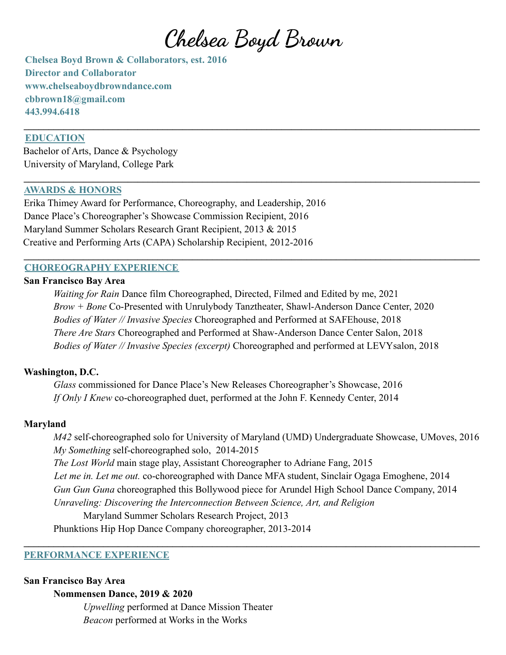**Chelsea Boyd Brown**

 $\mathcal{L}_\mathcal{L} = \{ \mathcal{L}_\mathcal{L} = \{ \mathcal{L}_\mathcal{L} = \{ \mathcal{L}_\mathcal{L} = \{ \mathcal{L}_\mathcal{L} = \{ \mathcal{L}_\mathcal{L} = \{ \mathcal{L}_\mathcal{L} = \{ \mathcal{L}_\mathcal{L} = \{ \mathcal{L}_\mathcal{L} = \{ \mathcal{L}_\mathcal{L} = \{ \mathcal{L}_\mathcal{L} = \{ \mathcal{L}_\mathcal{L} = \{ \mathcal{L}_\mathcal{L} = \{ \mathcal{L}_\mathcal{L} = \{ \mathcal{L}_\mathcal{$ 

 $\mathcal{L}_\mathcal{L} = \{ \mathcal{L}_\mathcal{L} = \{ \mathcal{L}_\mathcal{L} = \{ \mathcal{L}_\mathcal{L} = \{ \mathcal{L}_\mathcal{L} = \{ \mathcal{L}_\mathcal{L} = \{ \mathcal{L}_\mathcal{L} = \{ \mathcal{L}_\mathcal{L} = \{ \mathcal{L}_\mathcal{L} = \{ \mathcal{L}_\mathcal{L} = \{ \mathcal{L}_\mathcal{L} = \{ \mathcal{L}_\mathcal{L} = \{ \mathcal{L}_\mathcal{L} = \{ \mathcal{L}_\mathcal{L} = \{ \mathcal{L}_\mathcal{$ 

 $\mathcal{L}_\mathcal{L} = \{ \mathcal{L}_\mathcal{L} = \{ \mathcal{L}_\mathcal{L} = \{ \mathcal{L}_\mathcal{L} = \{ \mathcal{L}_\mathcal{L} = \{ \mathcal{L}_\mathcal{L} = \{ \mathcal{L}_\mathcal{L} = \{ \mathcal{L}_\mathcal{L} = \{ \mathcal{L}_\mathcal{L} = \{ \mathcal{L}_\mathcal{L} = \{ \mathcal{L}_\mathcal{L} = \{ \mathcal{L}_\mathcal{L} = \{ \mathcal{L}_\mathcal{L} = \{ \mathcal{L}_\mathcal{L} = \{ \mathcal{L}_\mathcal{$ 

**Chelsea Boyd Brown & Collaborators, est. 2016 Director and Collaborator www.chelseaboydbrowndance.com cbbrown18@gmail.com 443.994.6418**

### **EDUCATION**

Bachelor of Arts, Dance & Psychology University of Maryland, College Park

### **AWARDS & HONORS**

Erika Thimey Award for Performance, Choreography, and Leadership, 2016 Dance Place's Choreographer's Showcase Commission Recipient, 2016 Maryland Summer Scholars Research Grant Recipient, 2013 & 2015 Creative and Performing Arts (CAPA) Scholarship Recipient, 2012-2016

### **CHOREOGRAPHY EXPERIENCE**

## **San Francisco Bay Area**

*Waiting for Rain* Dance film Choreographed, Directed, Filmed and Edited by me, 2021 *Brow + Bone* Co-Presented with Unrulybody Tanztheater, Shawl-Anderson Dance Center, 2020 *Bodies of Water // Invasive Species* Choreographed and Performed at SAFEhouse, 2018 *There Are Stars* Choreographed and Performed at Shaw-Anderson Dance Center Salon, 2018 *Bodies of Water // Invasive Species (excerpt)* Choreographed and performed at LEVYsalon, 2018

#### **Washington, D.C.**

*Glass* commissioned for Dance Place's New Releases Choreographer's Showcase, 2016 *If Only I Knew* co-choreographed duet, performed at the John F. Kennedy Center, 2014

#### **Maryland**

*M42* self-choreographed solo for University of Maryland (UMD) Undergraduate Showcase, UMoves, 2016 *My Something* self-choreographed solo, 2014-2015 *The Lost World* main stage play, Assistant Choreographer to Adriane Fang, 2015 *Let me in. Let me out.* co-choreographed with Dance MFA student, Sinclair Ogaga Emoghene, 2014 *Gun Gun Guna* choreographed this Bollywood piece for Arundel High School Dance Company, 2014 *Unraveling: Discovering the Interconnection Between Science, Art, and Religion* Maryland Summer Scholars Research Project, 2013

 $\mathcal{L}_\mathcal{L} = \{ \mathcal{L}_\mathcal{L} = \{ \mathcal{L}_\mathcal{L} = \{ \mathcal{L}_\mathcal{L} = \{ \mathcal{L}_\mathcal{L} = \{ \mathcal{L}_\mathcal{L} = \{ \mathcal{L}_\mathcal{L} = \{ \mathcal{L}_\mathcal{L} = \{ \mathcal{L}_\mathcal{L} = \{ \mathcal{L}_\mathcal{L} = \{ \mathcal{L}_\mathcal{L} = \{ \mathcal{L}_\mathcal{L} = \{ \mathcal{L}_\mathcal{L} = \{ \mathcal{L}_\mathcal{L} = \{ \mathcal{L}_\mathcal{$ 

Phunktions Hip Hop Dance Company choreographer, 2013-2014

### **PERFORMANCE EXPERIENCE**

#### **San Francisco Bay Area**

#### **Nommensen Dance, 2019 & 2020**

*Upwelling* performed at Dance Mission Theater *Beacon* performed at Works in the Works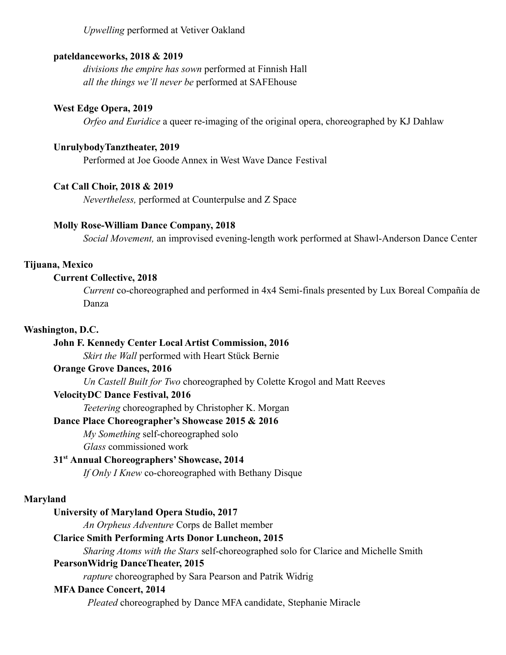*Upwelling* performed at Vetiver Oakland

### **pateldanceworks, 2018 & 2019**

*divisions the empire has sown* performed at Finnish Hall *all the things we'll never be* performed at SAFEhouse

### **West Edge Opera, 2019**

*Orfeo and Euridice* a queer re-imaging of the original opera, choreographed by KJ Dahlaw

### **UnrulybodyTanztheater, 2019**

Performed at Joe Goode Annex in West Wave Dance Festival

### **Cat Call Choir, 2018 & 2019**

*Nevertheless,* performed at Counterpulse and Z Space

### **Molly Rose-William Dance Company, 2018**

*Social Movement,* an improvised evening-length work performed at Shawl-Anderson Dance Center

### **Tijuana, Mexico**

### **Current Collective, 2018**

*Current* co-choreographed and performed in 4x4 Semi-finals presented by Lux Boreal Compañía de Danza

## **Washington, D.C.**

## **John F. Kennedy Center Local Artist Commission, 2016**

*Skirt the Wall* performed with Heart Stück Bernie

### **Orange Grove Dances, 2016**

*Un Castell Built for Two* choreographed by Colette Krogol and Matt Reeves

### **VelocityDC Dance Festival, 2016**

*Teetering* choreographed by Christopher K. Morgan

### **Dance Place Choreographer's Showcase 2015 & 2016**

*My Something* self-choreographed solo

*Glass* commissioned work

### **31st Annual Choreographers' Showcase, 2014**

*If Only I Knew* co-choreographed with Bethany Disque

#### **Maryland**

#### **University of Maryland Opera Studio, 2017**

*An Orpheus Adventure* Corps de Ballet member

### **Clarice Smith Performing Arts Donor Luncheon, 2015**

*Sharing Atoms with the Stars* self-choreographed solo for Clarice and Michelle Smith

## **PearsonWidrig DanceTheater, 2015**

*rapture* choreographed by Sara Pearson and Patrik Widrig

### **MFA Dance Concert, 2014**

*Pleated* choreographed by Dance MFA candidate, Stephanie Miracle